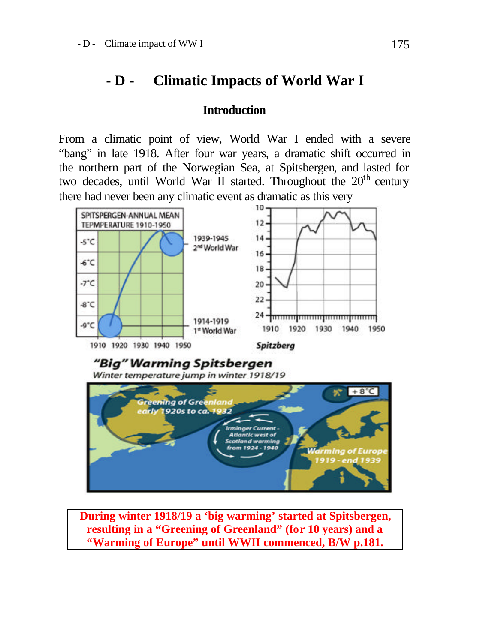## **- D - Climatic Impacts of World War I**

## **Introduction**

From a climatic point of view, World War I ended with a severe "bang" in late 1918. After four war years, a dramatic shift occurred in the northern part of the Norwegian Sea, at Spitsbergen, and lasted for two decades, until World War II started. Throughout the  $20<sup>th</sup>$  century there had never been any climatic event as dramatic as this very



**During winter 1918/19 a 'big warming' started at Spitsbergen, resulting in a "Greening of Greenland" (for 10 years) and a "Warming of Europe" until WWII commenced, B/W p.181.**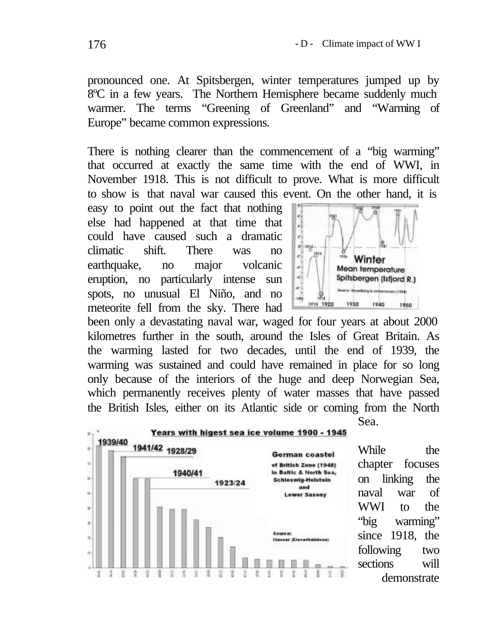pronounced one. At Spitsbergen, winter temperatures jumped up by 8ºC in a few years. The Northern Hemisphere became suddenly much warmer. The terms "Greening of Greenland" and "Warming of Europe" became common expressions.

There is nothing clearer than the commencement of a "big warming" that occurred at exactly the same time with the end of WWI, in November 1918. This is not difficult to prove. What is more difficult to show is that naval war caused this event. On the other hand, it is

easy to point out the fact that nothing else had happened at that time that could have caused such a dramatic climatic shift. There was no earthquake, no major volcanic eruption, no particularly intense sun spots, no unusual El Niño, and no meteorite fell from the sky. There had



been only a devastating naval war, waged for four years at about 2000 kilometres further in the south, around the Isles of Great Britain. As the warming lasted for two decades, until the end of 1939, the warming was sustained and could have remained in place for so long only because of the interiors of the huge and deep Norwegian Sea, which permanently receives plenty of water masses that have passed the British Isles, either on its Atlantic side or coming from the North



While the chapter focuses on linking the naval war of WWI to the "big warming" since 1918, the following two sections will demonstrate